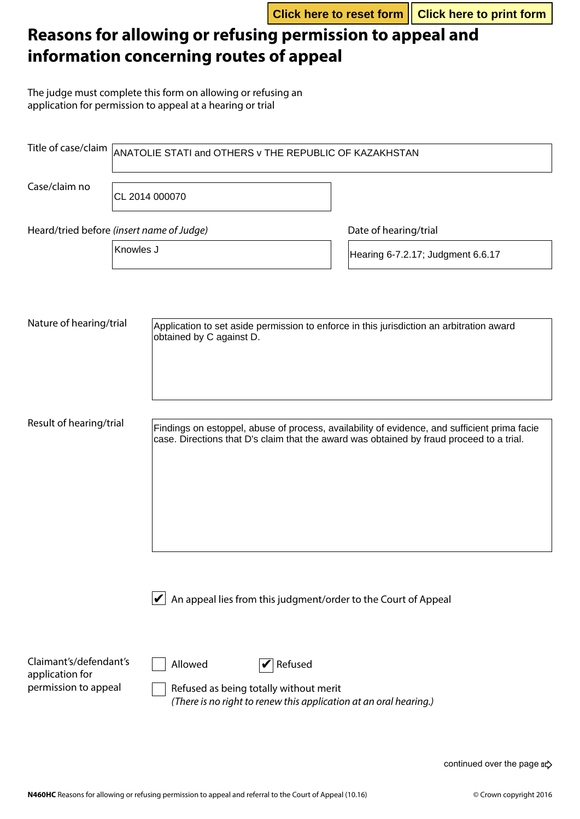## **Reasons for allowing or refusing permission to appeal and information concerning routes of appeal**

The judge must complete this form on allowing or refusing an application for permission to appeal at a hearing or trial

| Title of case/claim                                                                                                                             | ANATOLIE STATI and OTHERS v THE REPUBLIC OF KAZAKHSTAN |                                                                                                                                                                                          |                                   |  |
|-------------------------------------------------------------------------------------------------------------------------------------------------|--------------------------------------------------------|------------------------------------------------------------------------------------------------------------------------------------------------------------------------------------------|-----------------------------------|--|
| Case/claim no                                                                                                                                   | CL 2014 000070                                         |                                                                                                                                                                                          |                                   |  |
| Heard/tried before (insert name of Judge)                                                                                                       |                                                        |                                                                                                                                                                                          | Date of hearing/trial             |  |
| Knowles J                                                                                                                                       |                                                        |                                                                                                                                                                                          | Hearing 6-7.2.17; Judgment 6.6.17 |  |
| Nature of hearing/trial<br>Application to set aside permission to enforce in this jurisdiction an arbitration award<br>obtained by C against D. |                                                        |                                                                                                                                                                                          |                                   |  |
| Result of hearing/trial                                                                                                                         |                                                        | Findings on estoppel, abuse of process, availability of evidence, and sufficient prima facie<br>case. Directions that D's claim that the award was obtained by fraud proceed to a trial. |                                   |  |
| An appeal lies from this judgment/order to the Court of Appeal<br>$\boldsymbol{V}$                                                              |                                                        |                                                                                                                                                                                          |                                   |  |
| Claimant's/defendant's<br>application for<br>permission to appeal                                                                               |                                                        | Allowed<br>$\blacktriangleright$ Refused<br>Refused as being totally without merit<br>(There is no right to renew this application at an oral hearing.)                                  |                                   |  |